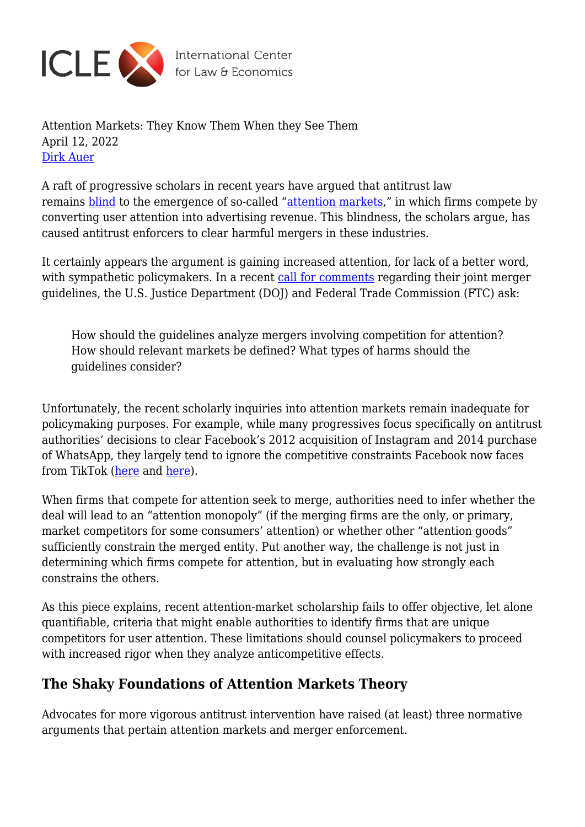

Attention Markets: They Know Them When they See Them April 12, 2022 [Dirk Auer](https://laweconcenter.org/author/dirkauer/)

A raft of progressive scholars in recent years have argued that antitrust law remains [blind](https://scholarship.law.columbia.edu/cgi/viewcontent.cgi?article=3030&context=faculty_scholarship) to the emergence of so-called ["attention markets,](https://repository.law.miami.edu/cgi/viewcontent.cgi?article=1931&context=fac_articles)" in which firms compete by converting user attention into advertising revenue. This blindness, the scholars argue, has caused antitrust enforcers to clear harmful mergers in these industries.

It certainly appears the argument is gaining increased attention, for lack of a better word, with sympathetic policymakers. In a recent [call for comments](https://www.ftc.gov/news-events/news/press-releases/2022/01/federal-trade-commission-justice-department-seek-strengthen-enforcement-against-illegal-mergers) regarding their joint merger guidelines, the U.S. Justice Department (DOJ) and Federal Trade Commission (FTC) ask:

How should the guidelines analyze mergers involving competition for attention? How should relevant markets be defined? What types of harms should the guidelines consider?

Unfortunately, the recent scholarly inquiries into attention markets remain inadequate for policymaking purposes. For example, while many progressives focus specifically on antitrust authorities' decisions to clear Facebook's 2012 acquisition of Instagram and 2014 purchase of WhatsApp, they largely tend to ignore the competitive constraints Facebook now faces from TikTok ([here](https://www.protocol.com/Politics/facebook-limits-antitrust-law#toggle-gdpr) and [here\)](https://www.ftc.gov/system/files/documents/cases/ecf_75-1_ftc_v_facebook_public_redacted_fac.pdf).

When firms that compete for attention seek to merge, authorities need to infer whether the deal will lead to an "attention monopoly" (if the merging firms are the only, or primary, market competitors for some consumers' attention) or whether other "attention goods" sufficiently constrain the merged entity. Put another way, the challenge is not just in determining which firms compete for attention, but in evaluating how strongly each constrains the others.

As this piece explains, recent attention-market scholarship fails to offer objective, let alone quantifiable, criteria that might enable authorities to identify firms that are unique competitors for user attention. These limitations should counsel policymakers to proceed with increased rigor when they analyze anticompetitive effects.

## **The Shaky Foundations of Attention Markets Theory**

Advocates for more vigorous antitrust intervention have raised (at least) three normative arguments that pertain attention markets and merger enforcement.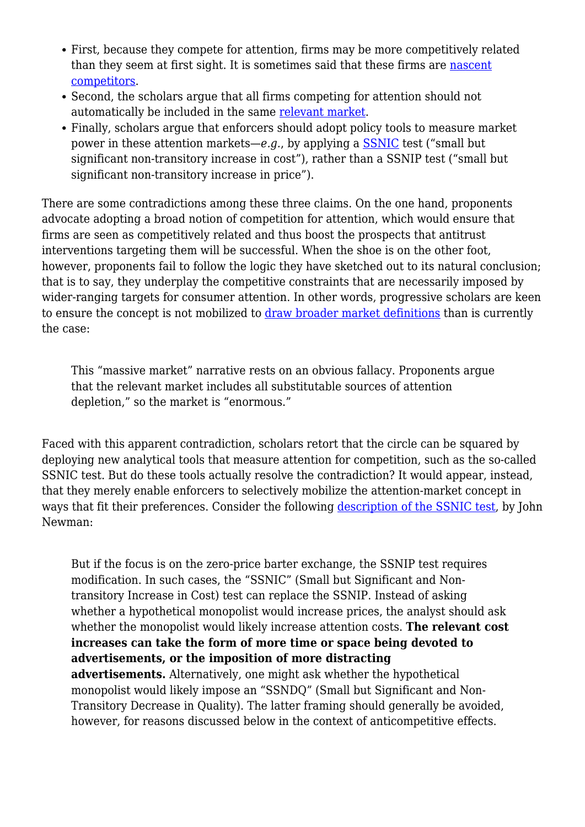- First, because they compete for attention, firms may be more competitively related than they seem at first sight. It is sometimes said that these firms are [nascent](https://scholarship.law.upenn.edu/penn_law_review/vol168/iss7/1/) [competitors.](https://scholarship.law.upenn.edu/penn_law_review/vol168/iss7/1/)
- Second, the scholars argue that all firms competing for attention should not automatically be included in the same [relevant market](https://papers.ssrn.com/sol3/papers.cfm?abstract_id=3745839).
- Finally, scholars argue that enforcers should adopt policy tools to measure market power in these attention markets—*e.g.*, by applying a [SSNIC](https://papers.ssrn.com/sol3/papers.cfm?abstract_id=3745839) test ("small but significant non-transitory increase in cost"), rather than a SSNIP test ("small but significant non-transitory increase in price").

There are some contradictions among these three claims. On the one hand, proponents advocate adopting a broad notion of competition for attention, which would ensure that firms are seen as competitively related and thus boost the prospects that antitrust interventions targeting them will be successful. When the shoe is on the other foot, however, proponents fail to follow the logic they have sketched out to its natural conclusion; that is to say, they underplay the competitive constraints that are necessarily imposed by wider-ranging targets for consumer attention. In other words, progressive scholars are keen to ensure the concept is not mobilized to [draw broader market definitions](https://papers.ssrn.com/sol3/papers.cfm?abstract_id=3745839) than is currently the case:

This "massive market" narrative rests on an obvious fallacy. Proponents argue that the relevant market includes all substitutable sources of attention depletion," so the market is "enormous."

Faced with this apparent contradiction, scholars retort that the circle can be squared by deploying new analytical tools that measure attention for competition, such as the so-called SSNIC test. But do these tools actually resolve the contradiction? It would appear, instead, that they merely enable enforcers to selectively mobilize the attention-market concept in ways that fit their preferences. Consider the following [description of the SSNIC test](https://papers.ssrn.com/sol3/papers.cfm?abstract_id=3745839), by John Newman:

But if the focus is on the zero-price barter exchange, the SSNIP test requires modification. In such cases, the "SSNIC" (Small but Significant and Nontransitory Increase in Cost) test can replace the SSNIP. Instead of asking whether a hypothetical monopolist would increase prices, the analyst should ask whether the monopolist would likely increase attention costs. **The relevant cost increases can take the form of more time or space being devoted to advertisements, or the imposition of more distracting advertisements.** Alternatively, one might ask whether the hypothetical monopolist would likely impose an "SSNDQ" (Small but Significant and Non-Transitory Decrease in Quality). The latter framing should generally be avoided, however, for reasons discussed below in the context of anticompetitive effects.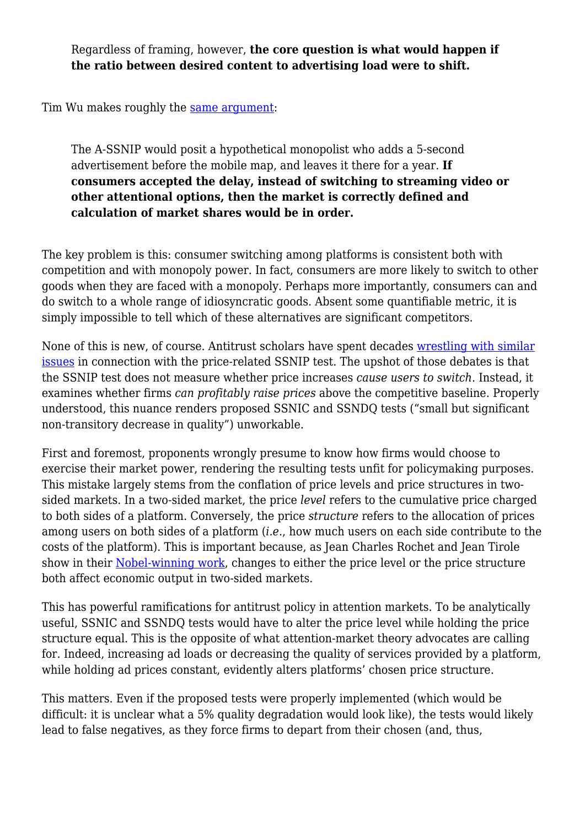Regardless of framing, however, **the core question is what would happen if the ratio between desired content to advertising load were to shift.**

Tim Wu makes roughly the [same argument:](https://scholarship.law.columbia.edu/cgi/viewcontent.cgi?article=3030&context=faculty_scholarship)

The A-SSNIP would posit a hypothetical monopolist who adds a 5-second advertisement before the mobile map, and leaves it there for a year. **If consumers accepted the delay, instead of switching to streaming video or other attentional options, then the market is correctly defined and calculation of market shares would be in order.**

The key problem is this: consumer switching among platforms is consistent both with competition and with monopoly power. In fact, consumers are more likely to switch to other goods when they are faced with a monopoly. Perhaps more importantly, consumers can and do switch to a whole range of idiosyncratic goods. Absent some quantifiable metric, it is simply impossible to tell which of these alternatives are significant competitors.

None of this is new, of course. Antitrust scholars have spent decades [wrestling with similar](https://chicagounbound.uchicago.edu/cgi/viewcontent.cgi?article=2551&context=journal_articles) [issues](https://chicagounbound.uchicago.edu/cgi/viewcontent.cgi?article=2551&context=journal_articles) in connection with the price-related SSNIP test. The upshot of those debates is that the SSNIP test does not measure whether price increases *cause users to switch*. Instead, it examines whether firms *can profitably raise prices* above the competitive baseline. Properly understood, this nuance renders proposed SSNIC and SSNDQ tests ("small but significant non-transitory decrease in quality") unworkable.

First and foremost, proponents wrongly presume to know how firms would choose to exercise their market power, rendering the resulting tests unfit for policymaking purposes. This mistake largely stems from the conflation of price levels and price structures in twosided markets. In a two-sided market, the price *level* refers to the cumulative price charged to both sides of a platform. Conversely, the price *structure* refers to the allocation of prices among users on both sides of a platform (*i.e.*, how much users on each side contribute to the costs of the platform). This is important because, as Jean Charles Rochet and Jean Tirole show in their [Nobel-winning work,](https://www.jstor.org/stable/25046265?seq=1) changes to either the price level or the price structure both affect economic output in two-sided markets.

This has powerful ramifications for antitrust policy in attention markets. To be analytically useful, SSNIC and SSNDQ tests would have to alter the price level while holding the price structure equal. This is the opposite of what attention-market theory advocates are calling for. Indeed, increasing ad loads or decreasing the quality of services provided by a platform, while holding ad prices constant, evidently alters platforms' chosen price structure.

This matters. Even if the proposed tests were properly implemented (which would be difficult: it is unclear what a 5% quality degradation would look like), the tests would likely lead to false negatives, as they force firms to depart from their chosen (and, thus,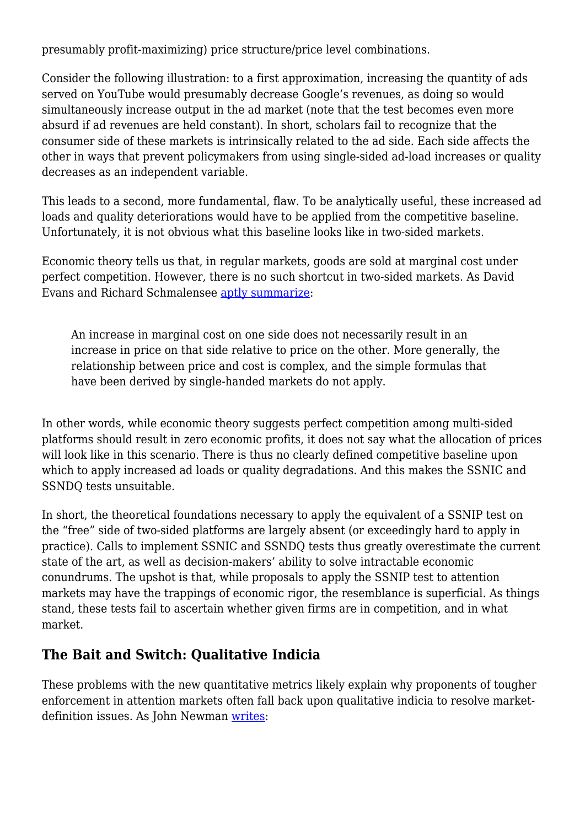presumably profit-maximizing) price structure/price level combinations.

Consider the following illustration: to a first approximation, increasing the quantity of ads served on YouTube would presumably decrease Google's revenues, as doing so would simultaneously increase output in the ad market (note that the test becomes even more absurd if ad revenues are held constant). In short, scholars fail to recognize that the consumer side of these markets is intrinsically related to the ad side. Each side affects the other in ways that prevent policymakers from using single-sided ad-load increases or quality decreases as an independent variable.

This leads to a second, more fundamental, flaw. To be analytically useful, these increased ad loads and quality deteriorations would have to be applied from the competitive baseline. Unfortunately, it is not obvious what this baseline looks like in two-sided markets.

Economic theory tells us that, in regular markets, goods are sold at marginal cost under perfect competition. However, there is no such shortcut in two-sided markets. As David Evans and Richard Schmalensee [aptly summarize](https://www.nber.org/papers/w11603):

An increase in marginal cost on one side does not necessarily result in an increase in price on that side relative to price on the other. More generally, the relationship between price and cost is complex, and the simple formulas that have been derived by single-handed markets do not apply.

In other words, while economic theory suggests perfect competition among multi-sided platforms should result in zero economic profits, it does not say what the allocation of prices will look like in this scenario. There is thus no clearly defined competitive baseline upon which to apply increased ad loads or quality degradations. And this makes the SSNIC and SSNDQ tests unsuitable.

In short, the theoretical foundations necessary to apply the equivalent of a SSNIP test on the "free" side of two-sided platforms are largely absent (or exceedingly hard to apply in practice). Calls to implement SSNIC and SSNDQ tests thus greatly overestimate the current state of the art, as well as decision-makers' ability to solve intractable economic conundrums. The upshot is that, while proposals to apply the SSNIP test to attention markets may have the trappings of economic rigor, the resemblance is superficial. As things stand, these tests fail to ascertain whether given firms are in competition, and in what market.

## **The Bait and Switch: Qualitative Indicia**

These problems with the new quantitative metrics likely explain why proponents of tougher enforcement in attention markets often fall back upon qualitative indicia to resolve marketdefinition issues. As John Newman [writes:](https://papers.ssrn.com/sol3/papers.cfm?abstract_id=3745839)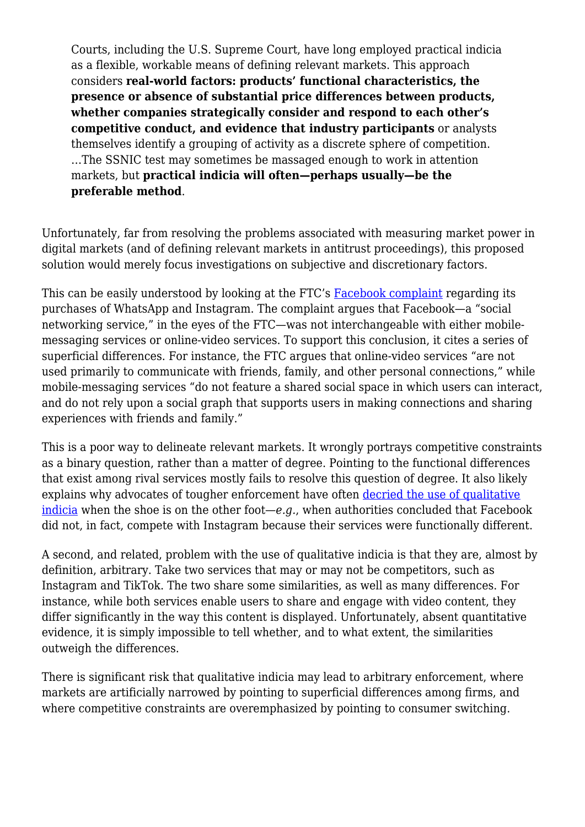Courts, including the U.S. Supreme Court, have long employed practical indicia as a flexible, workable means of defining relevant markets. This approach considers **real-world factors: products' functional characteristics, the presence or absence of substantial price differences between products, whether companies strategically consider and respond to each other's competitive conduct, and evidence that industry participants** or analysts themselves identify a grouping of activity as a discrete sphere of competition. …The SSNIC test may sometimes be massaged enough to work in attention markets, but **practical indicia will often—perhaps usually—be the preferable method**.

Unfortunately, far from resolving the problems associated with measuring market power in digital markets (and of defining relevant markets in antitrust proceedings), this proposed solution would merely focus investigations on subjective and discretionary factors.

This can be easily understood by looking at the FTC's [Facebook complaint](https://www.ftc.gov/system/files/documents/cases/ecf_75-1_ftc_v_facebook_public_redacted_fac.pdf) regarding its purchases of WhatsApp and Instagram. The complaint argues that Facebook—a "social networking service," in the eyes of the FTC—was not interchangeable with either mobilemessaging services or online-video services. To support this conclusion, it cites a series of superficial differences. For instance, the FTC argues that online-video services "are not used primarily to communicate with friends, family, and other personal connections," while mobile-messaging services "do not feature a shared social space in which users can interact, and do not rely upon a social graph that supports users in making connections and sharing experiences with friends and family."

This is a poor way to delineate relevant markets. It wrongly portrays competitive constraints as a binary question, rather than a matter of degree. Pointing to the functional differences that exist among rival services mostly fails to resolve this question of degree. It also likely explains why advocates of tougher enforcement have often [decried the use of qualitative](https://scholarship.law.columbia.edu/cgi/viewcontent.cgi?article=3030&context=faculty_scholarship) [indicia](https://scholarship.law.columbia.edu/cgi/viewcontent.cgi?article=3030&context=faculty_scholarship) when the shoe is on the other foot—*e.g.*, when authorities concluded that Facebook did not, in fact, compete with Instagram because their services were functionally different.

A second, and related, problem with the use of qualitative indicia is that they are, almost by definition, arbitrary. Take two services that may or may not be competitors, such as Instagram and TikTok. The two share some similarities, as well as many differences. For instance, while both services enable users to share and engage with video content, they differ significantly in the way this content is displayed. Unfortunately, absent quantitative evidence, it is simply impossible to tell whether, and to what extent, the similarities outweigh the differences.

There is significant risk that qualitative indicia may lead to arbitrary enforcement, where markets are artificially narrowed by pointing to superficial differences among firms, and where competitive constraints are overemphasized by pointing to consumer switching.